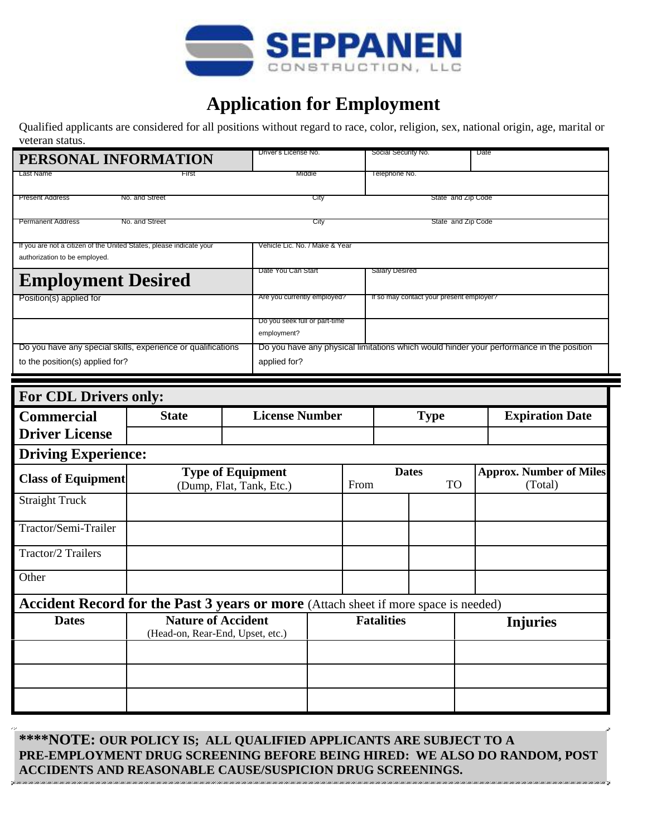

## **Application for Employment**

Qualified applicants are considered for all positions without regard to race, color, religion, sex, national origin, age, marital or veteran status.

| PERSONAL INFORMATION                                                                                 |                                                               |  | Driver's License No.                         |      |                           | Social Security No.   |                                          |                                           | Date                                                                                     |  |
|------------------------------------------------------------------------------------------------------|---------------------------------------------------------------|--|----------------------------------------------|------|---------------------------|-----------------------|------------------------------------------|-------------------------------------------|------------------------------------------------------------------------------------------|--|
| Last Name                                                                                            | First                                                         |  | Middle                                       |      |                           | Telephone No.         |                                          |                                           |                                                                                          |  |
| <b>Present Address</b>                                                                               | No. and Street                                                |  |                                              | City |                           |                       | State and Zip Code                       |                                           |                                                                                          |  |
| <b>Permanent Address</b>                                                                             | No. and Street                                                |  |                                              | City |                           |                       | State and Zip Code                       |                                           |                                                                                          |  |
| If you are not a citizen of the United States, please indicate your<br>authorization to be employed. |                                                               |  | Vehicle Lic. No. / Make & Year               |      |                           |                       |                                          |                                           |                                                                                          |  |
| <b>Employment Desired</b>                                                                            |                                                               |  | Date You Can Start                           |      |                           | <b>Salary Desired</b> |                                          |                                           |                                                                                          |  |
| Position(s) applied for                                                                              |                                                               |  | Are you currently employed?                  |      |                           |                       | It so may contact your present employer? |                                           |                                                                                          |  |
|                                                                                                      |                                                               |  | Do you seek full or part-time<br>employment? |      |                           |                       |                                          |                                           |                                                                                          |  |
| Do you have any special skills, experience or qualifications<br>to the position(s) applied for?      |                                                               |  | applied for?                                 |      |                           |                       |                                          |                                           | Do you have any physical limitations which would hinder your performance in the position |  |
| For CDL Drivers only:                                                                                |                                                               |  |                                              |      |                           |                       |                                          |                                           |                                                                                          |  |
| <b>Commercial</b>                                                                                    | <b>State</b>                                                  |  | <b>License Number</b>                        |      |                           | <b>Type</b>           |                                          |                                           | <b>Expiration Date</b>                                                                   |  |
| <b>Driver License</b>                                                                                |                                                               |  |                                              |      |                           |                       |                                          |                                           |                                                                                          |  |
| <b>Driving Experience:</b>                                                                           |                                                               |  |                                              |      |                           |                       |                                          |                                           |                                                                                          |  |
| <b>Class of Equipment</b>                                                                            | <b>Type of Equipment</b><br>(Dump, Flat, Tank, Etc.)          |  |                                              | From | <b>Dates</b><br><b>TO</b> |                       |                                          | <b>Approx. Number of Miles</b><br>(Total) |                                                                                          |  |
| <b>Straight Truck</b>                                                                                |                                                               |  |                                              |      |                           |                       |                                          |                                           |                                                                                          |  |
| Tractor/Semi-Trailer                                                                                 |                                                               |  |                                              |      |                           |                       |                                          |                                           |                                                                                          |  |
| Tractor/2 Trailers                                                                                   |                                                               |  |                                              |      |                           |                       |                                          |                                           |                                                                                          |  |
| Other                                                                                                |                                                               |  |                                              |      |                           |                       |                                          |                                           |                                                                                          |  |
| Accident Record for the Past 3 years or more (Attach sheet if more space is needed)                  |                                                               |  |                                              |      |                           |                       |                                          |                                           |                                                                                          |  |
| <b>Dates</b>                                                                                         | <b>Nature of Accident</b><br>(Head-on, Rear-End, Upset, etc.) |  | <b>Fatalities</b>                            |      |                           |                       | <b>Injuries</b>                          |                                           |                                                                                          |  |
|                                                                                                      |                                                               |  |                                              |      |                           |                       |                                          |                                           |                                                                                          |  |
|                                                                                                      |                                                               |  |                                              |      |                           |                       |                                          |                                           |                                                                                          |  |
|                                                                                                      |                                                               |  |                                              |      |                           |                       |                                          |                                           |                                                                                          |  |

**\*\*\*\*NOTE: OUR POLICY IS; ALL QUALIFIED APPLICANTS ARE SUBJECT TO A PRE-EMPLOYMENT DRUG SCREENING BEFORE BEING HIRED: WE ALSO DO RANDOM, POST ACCIDENTS AND REASONABLE CAUSE/SUSPICION DRUG SCREENINGS.**